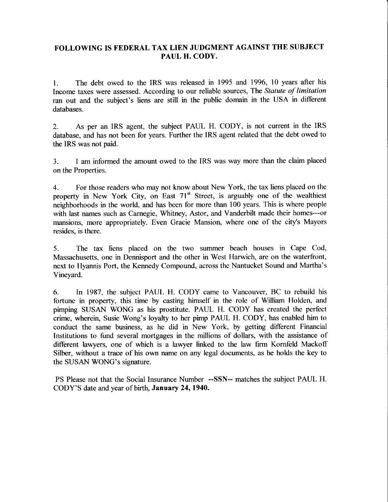## FOLLOWING IS FEDERAL TAX LIEN JUDGMENT AGAINST THE SUBJECT PAUL H. CODY.

1. The debt owed to the IRS was released in 1995 and 1996, 10 years after his Income taxes were assessed. According to our reliable sources, The Statute of limitation ran out and the subject's liens are still in the public domain in the USA in different databases.

2. As per an IRS agent, the subject PAUL H. CODY, is not curent in the IRS database, and has not been for years. Further the IRS agent related that the debt owed to the IRS was not paid.

3. I am informed the amount owed to the IRS was way more than the claim placed on the Properties.

4. For those readers who may not know about New York, the tax liens placed on the property in New York City, on East 71<sup>st</sup> Street, is arguably one of the wealthiest neighborhoods in the world, and has been for more than 100 years. This is where people with last names such as Carnegie, Whitney, Astor, and Vanderbilt made their homes---or mansions, more appropriately. Even Gracie Mansion, where one of the city's Mayors resides, is there.

5. The tax liens placed on the two summer beach houses in Cape Cod, Massachusetts, one in Dennisport and the other in West Harwich, are on the waterfront, next to Hyannis Port, the Kennedy Compound, across the Nantucket Sound and Martha's Vineyard.

6. In 1987, the subject PAUL H. CODY came to Vancouver, BC to rebuild his fortune in property, this time by casting himself in the role of William Holden, and pimping SUSAN WONG as his prostitute. PAUL H. CODY has created the perfect crime, wherein, Susie Wong's loyalty to her pimp PAUL H. CODY, has enabled him to conduct the same business, as he did in New York, by getting different Financial Institutions to fund several mortgages in the millions of dollars, with the assistance of different lawyers, one of which is a lawyer linked to the law firm Kornfeld Mackoff Silber, without a trace of his own name on any legal documents, as he holds the key to the SUSAN WONG's signature.

PS Please not that the Social Insurance Number --SSN-- matches the subiect PALIL H. CODY'S date and year of birth, January 24,1940.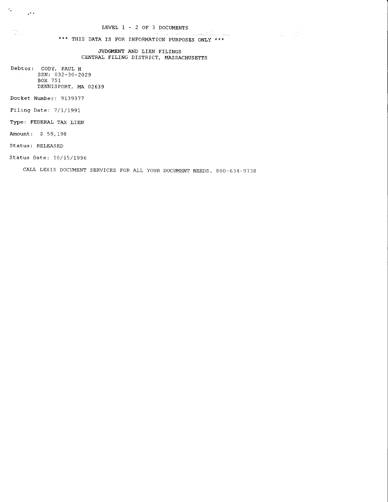a kasalin k

 $\label{eq:2.1} \begin{split} \mathcal{L}_{\text{max}}(\mathbf{r}) & = \mathcal{L}_{\text{max}}(\mathbf{r}) \mathcal{L}_{\text{max}}(\mathbf{r}) \\ & = \mathcal{L}_{\text{max}}(\mathbf{r}) \mathcal{L}_{\text{max}}(\mathbf{r}) \mathcal{L}_{\text{max}}(\mathbf{r}) \mathcal{L}_{\text{max}}(\mathbf{r}) \mathcal{L}_{\text{max}}(\mathbf{r}) \mathcal{L}_{\text{max}}(\mathbf{r}) \mathcal{L}_{\text{max}}(\mathbf{r}) \mathcal{L}_{\text{max}}(\mathbf{r}) \mathcal{L}_{\text{max}}(\mathbf$ 

\*\*\* THIS DATA IS FOR INFORMATION PURPOSES ONLY \*\*\*

JUDGMENT AND LIEN FILINGS CENTRAL FILING DISTRICT, MASSACHUSETTS

Debtor: CODY, PAUL H ssN:032-30-2029 BOX 751 DENNISPORT, MA 02639

Docket Number: 9139377

Filing Date: 7/1/1991

Type: FEDERAL TAX LIEN

Amount: \$ 59,198

 $c_{\rm g}$  ,  $\frac{1}{2}$  ,  $\frac{1}{2}$  ,

i i seniji<br>Seniji i se

Status: RELEASED

Status Date: 10/15/1996

CALL LEXIS DOCUMENT SERVICES FOR ALL YOUR DOCUMENT NEEDS. 800-634-9738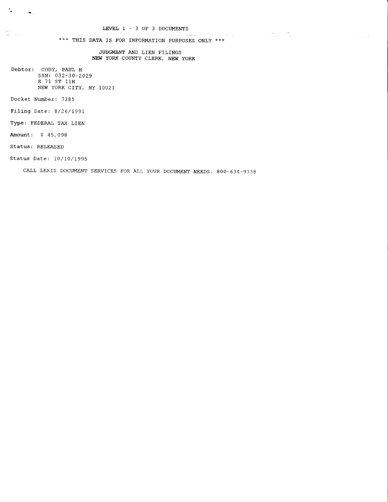$\label{eq:2.1} \frac{1}{\left(1-\frac{1}{2}\right)}\left(\frac{1}{\left(1-\frac{1}{2}\right)}\right)^{2}=\frac{1}{\left(1-\frac{1}{2}\right)}\left(\frac{1}{\left(1-\frac{1}{2}\right)}\right)^{2}=\frac{1}{\left(1-\frac{1}{2}\right)}\left(\frac{1}{\left(1-\frac{1}{2}\right)}\right)^{2}=\frac{1}{\left(1-\frac{1}{2}\right)}\left(\frac{1}{\left(1-\frac{1}{2}\right)}\right)^{2}=\frac{1}{\left(1-\frac{1}{2}\right)}\left(\frac{1}{\left(1-\frac{1}{2$ 

 $\mathcal{P}_{\text{max}}$  and  $\mathcal{P}_{\text{max}}$ 

\*\*\* THIS DATA IS FOR INFORMATION PURPOSES ONLY \*\*\*

JUDGMENT AND LIEN FILINGS NEW YORK COUNTY CLERK, NEW YORK

Debtor: CODY, PAUL H SSN: 032-30-2029 E 71 ST 11H NEW YORK CITY, NY 10021

Docket Number: 7385

 $\frac{1}{\sqrt{2}}$  .

 $\begin{aligned} \mathbf{w}_{\text{eq}} &=& \mathbf{w}_{\text{eq}} \\ \mathbf{w}_{\text{eq}} &=& \mathbf{w}_{\text{eq}} = \mathbf{w}_{\text{eq}} \end{aligned}$ 

 $\sim$ 

Filing Date: 8/26/1991

Type: FEDERAL TAX LIEN

Amount: \$45,098

Status: RELEASED

Status Date: 10/10/1995

CALL LEXIS DOCUMENT SERVICES FOR ALL YOUR DOCUMENT NEEDS. 800-634-9738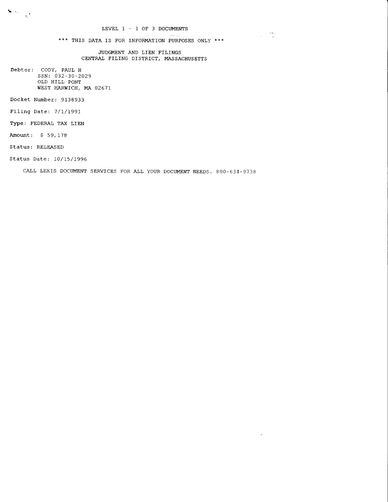$\sim$ 

 $\label{eq:2.1} \begin{split} \mathcal{L}_{\text{max}}(\mathcal{L}_{\text{max}}) = \mathcal{L}_{\text{max}}(\mathcal{L}_{\text{max}}) \\ \mathcal{L}_{\text{max}}(\mathcal{L}_{\text{max}}) = \mathcal{L}_{\text{max}}(\mathcal{L}_{\text{max}}) + \mathcal{L}_{\text{max}}(\mathcal{L}_{\text{max}}) \end{split}$ 

 $\bar{\lambda}$ 

\*\*\* THIS DATA IS FOR INFORMATION PURPOSES ONLY \*\*\*

JUDGMENT AND LIEN FILINGS CENTRAL FILING DISTRICT, MASSACHUSETTS

Debtor: CODY, PAUL H SSN: 032-30-2029 OLD HILL PONT WEST HARWICH, MA 02671

Docket Number: 9138933

Filing Date: 7/1/1991

Type: FEDERAL TAX LIEN

Amount: \$ 59,178

 $\sum_{i=1}^n \left\langle \hat{a}_i \right\rangle_{\mathcal{M}_i} = \frac{1}{\sqrt{2\pi}} \sum_{i=1}^n \hat{a}_i \hat{a}_i$ 

Status: RELEASED

Status Date: 10/15/1996

CALL LEXIS DOCUMENT SERVICES FOR ALL YOUR DOCUMENT NEEDS. 800-634-9738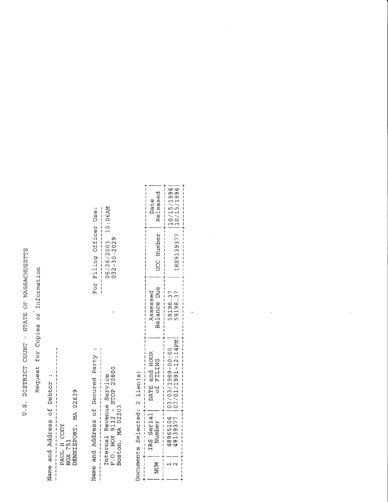U.S. DISTRICT COURT - STATE OF MASSACHUSETTS

Request for Copies or Information

Name and Address of Debtor :

PAUL H CODY<br>BOX 751<br>DENNISPORT, MA 02639 

---------------------<br>06/26/2003 10:06АМ<br>032-30-2029 For Filing Officer Use: Name and Address of Secured Party : Internal Revenue Service<br>P.O. BOX 9112 - STOP 20800<br>Boston, MA 02203 

Documents Selected: 2 lien(s)

| ţ<br>ו<br>ו<br>Released<br>ł<br>Date<br>ו<br>ו<br>$\mathbf{I}$<br>$\frac{1}{1}$                                                    | 10/15/1996<br>1<br>ו<br> <br>                                                                    |
|------------------------------------------------------------------------------------------------------------------------------------|--------------------------------------------------------------------------------------------------|
| $\frac{1}{2}$<br>UCC Number<br>l<br>ł<br>I<br>۱<br>١<br>I<br>ı<br>I<br>l<br>I                                                      | ╋╟╟╿╿╿╟╿╿╿╿╿╋╿╏╿╏╿╿╿╿╿╟╟╟╫┠╟╞╟╟╟╟<br>IRS9139377  10/15/1996<br>י<br>ו<br>I                       |
| $\frac{1}{1}$<br>Balance Due<br>Assessed<br>ı<br>l<br>I                                                                            | 59198.37<br>59198.37<br>ו<br>ו<br>I<br>ı<br>ļ<br>i<br> <br> <br> <br> <br>ı<br>Í<br>ı            |
| ו<br>ו<br>l<br>ו<br>ו  <br>ו<br>DATE and HOUR<br>of FILING<br>i<br>İ<br>$\overline{\phantom{a}}$<br>I<br>I<br>I<br> <br> <br> <br> | N471:21-1661/107/01/1991<br>$\frac{1}{1}$<br>I<br>l<br>l<br>ł<br>I<br>j<br>ľ<br>ì<br>I<br>ŀ<br>i |
| - コーナー コールトー<br>IRS Serial<br>Number<br>ľ<br>ł<br>I<br>i<br> <br>                                                                  |                                                                                                  |
| ;<br>; ; ; ; ; ; ; ;<br>NUM<br>$\overline{\phantom{a}}$<br>Ï                                                                       |                                                                                                  |

 $\ddot{\phantom{0}}$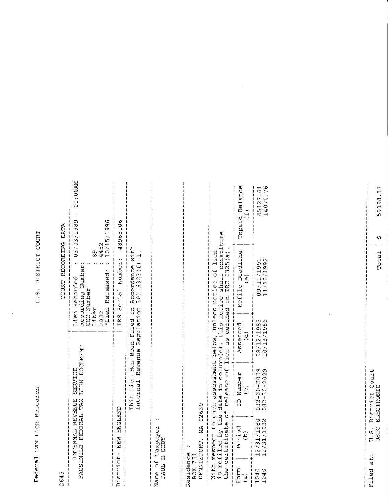Federal Tax Lien Research

U.S. DISTRICT COURT

 $\ddot{\phantom{0}}$ 

| 2645                                                                                 |                                                                                                                   |                                                                                       |                                                       | COURT RECORDING DATA                                                                                                                                                                  |                                                  |
|--------------------------------------------------------------------------------------|-------------------------------------------------------------------------------------------------------------------|---------------------------------------------------------------------------------------|-------------------------------------------------------|---------------------------------------------------------------------------------------------------------------------------------------------------------------------------------------|--------------------------------------------------|
|                                                                                      | FACSIMILE FEDERAL TAX<br>INTERNAL                                                                                 | LIEN DOCUMENT<br>SERVICE<br><b>REVENUE</b>                                            | *Lien<br>Liber<br>Page                                | 89<br>4452<br>10/15,<br>Recording Number:<br>Released*<br>Lien Recorded<br>UCC Number                                                                                                 | $M$ 00:00<br>03/03/1989<br>96                    |
|                                                                                      | <b>JGLAND</b><br>District: NEW ED                                                                                 |                                                                                       | <b>IRS</b>                                            | Number:<br>Serial                                                                                                                                                                     | $\delta$<br>٣<br>ഗ<br>$\circ$<br>489             |
|                                                                                      |                                                                                                                   | This Lien Has<br>Internal                                                             | Regulat<br>Been Filed<br>Revenue                      | with<br>ł<br>$\widehat{\mathbf{H}}$<br>Accordance<br>.6323(<br>301<br>$\ddot{H}$<br>ion                                                                                               |                                                  |
|                                                                                      | Name of Taxpayer<br>PAUL H CODY                                                                                   |                                                                                       |                                                       |                                                                                                                                                                                       |                                                  |
| DENNISPORT,<br>Residence<br>BOX 751                                                  | Ě                                                                                                                 | 02639                                                                                 |                                                       |                                                                                                                                                                                       |                                                  |
| the<br>$\begin{array}{c} \n\downarrow \\ \downarrow \\ \downarrow\n\end{array}$<br>ł | With respect to each<br>is refiled by the da<br>$\Phi$<br>certificat<br>$\overline{\phantom{a}}$<br>$\frac{1}{1}$ | late in column (e),<br>release of lien as<br>assessment<br>the date<br>$\overline{a}$ | this notice<br>unless<br>defined<br>below,<br>lien as | constitute<br>lien<br>$\frac{\text{ide}}{\text{shall}}$ c $\frac{\text{c}}{\text{cm}}$<br>$\frac{\text{shall}}{\text{of}}$ 6325(a)<br>notice<br>$\frac{1}{4}$                         |                                                  |
| Form<br>$\widehat{a}$                                                                | Period<br>$\widetilde{B}$                                                                                         | ID Number<br>$\widehat{c}$                                                            | Assessed<br>(d)                                       | Deadline<br>$\overset{\cdot}{\mathbb{C}}$<br>Refile                                                                                                                                   | ¢<br>Balanc<br>$\overline{\mathbf{u}}$<br>Unpaid |
| 1040<br>1040                                                                         | $\frac{80}{9}$<br>12/31/198                                                                                       | $-2029$<br>$-2029$<br>$000$<br>$-0.0$<br>1<br>$\frac{2}{3}$<br>0 3 2                  | 1986<br>1<br>$\frac{08}{10}$ /13<br>ı                 | $\frac{1}{9}$ $\frac{2}{9}$<br>O٦,<br>$\sigma$<br>$\mathord{\text{--}}$<br>$\overline{\phantom{0}}$<br>$\overline{\phantom{0}}$<br>$\mathbf{\sim}$<br>ᅱ<br>$\mathcal{O}$<br>$\vec{L}$ | $-5,76$<br>0<br>$\overline{ }$<br>45127          |

 $\ddot{\phantom{0}}$ 

 $-1$ 59198.37

 $Totail \S$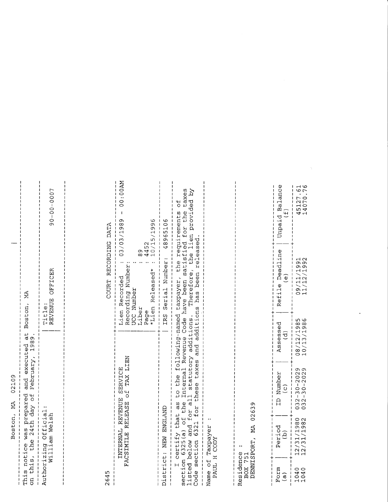| Boston, MA 02109                                                                                                                                                                                                               |                                                     |                    |
|--------------------------------------------------------------------------------------------------------------------------------------------------------------------------------------------------------------------------------|-----------------------------------------------------|--------------------|
| This notice was prepared and executed at Boston, MA<br> <br> <br> <br> <br>on this, the 24th day of February, 1989.<br>$\frac{1}{1}$<br>╎ │ │ │ │ │<br>$\frac{1}{1}$                                                           | ł<br>I<br>I<br>ו<br>ו<br>$\mathbf i$<br>I<br>I<br>I | $\frac{1}{1}$<br>ľ |
| <br> <br> <br> <br> <br>Authorizing Official:<br>William Welsh<br>$\begin{array}{c} 1 & 1 \\ 1 & 1 \\ 1 & 1 \end{array}$<br>1111111                                                                                            | $90 - 00 - 007$<br>REVENUE OFFICER<br>Title:        | I<br>I             |
|                                                                                                                                                                                                                                | $\frac{1}{1}$ 1 1 1 1 1<br>ו<br>ו<br> <br> <br>     | I<br>I             |
| 2645                                                                                                                                                                                                                           | COURT RECORDING DATA                                |                    |
| TO think the start of the starting the start of the start of the start of the start of the start of the start of the start of the start of the start of the start of the start of the start of the start of the start of the s | 1<br>$\frac{1}{1}$<br>l<br>I<br>l<br>;<br>;         | I<br>I             |

| FACSIMILE RELEASE Of TAX LIEN<br>INTERNAL REVENUE SERVICE                                                                                                                                                                                                                                                       | ME00:00 - 6861/50/50:00<br>10/15/1996<br>4452<br>89<br>Recording Number:<br>*Lien Released*<br>Lien Recorded<br>UCC Number<br>Liber<br>Page |
|-----------------------------------------------------------------------------------------------------------------------------------------------------------------------------------------------------------------------------------------------------------------------------------------------------------------|---------------------------------------------------------------------------------------------------------------------------------------------|
| District: NEW ENGLAND                                                                                                                                                                                                                                                                                           | IRS Serial Number: 48965106                                                                                                                 |
| listed below and for all statutory additions. Therefore, the lien provided by<br>Code section 6321 for these taxes and additions has been released.<br>I certify that as to the following-named taxpayer, the requirements of<br>section 6325(a) of the Internal Revenue Code have been satisfied for the taxes |                                                                                                                                             |
| Name of Taxpayer<br>PAUL H CODY                                                                                                                                                                                                                                                                                 |                                                                                                                                             |
| 02639<br>Á<br>DENNISPORT,<br>Residence<br>BOX 751                                                                                                                                                                                                                                                               |                                                                                                                                             |

| ı<br>I<br>$\overline{\phantom{a}}$<br>$\mathbf{I}$<br>I<br>$\mathbf I$<br>$\frac{1}{4}$ | Unpaid Balance<br>.<br>سا            | 14070.76<br>45127.61<br>j                                     |
|-----------------------------------------------------------------------------------------|--------------------------------------|---------------------------------------------------------------|
| $\frac{1}{1}$<br>$\frac{1}{1}$<br>1<br>I<br>ו<br>ו<br>I<br>ł<br>ı                       | Refile Deadline<br>O)                | 11/12/1992<br>09/11/1991<br>I<br>Ì<br>Į<br>ו<br>+<br>+        |
| I<br>I<br>$\frac{1}{1}$<br>$\mathbf{I}$<br>$\overline{\mathbf{I}}$                      | Assessed<br>$\vec{\sigma}$           | $\frac{1}{1}$<br>10/13/1986<br>08/12/1985<br>ı<br>I<br>I      |
| $+1$<br>$\frac{1}{1}$<br> <br> <br> <br>I                                               | ID Number<br>$\overline{\mathbf{c}}$ | $+1111$<br>$12/31/1980$ 032-30-2029<br>$032 - 30 - 2029$<br>I |
| ╺╿╋┼╿╿╿╿┇┇┇╿╿╂╋╟╿╿╿╏                                                                    | Period                               | 12/31/1982                                                    |
|                                                                                         | Form<br>ഁ                            | 1040<br>1040                                                  |

 $\mathcal{L}^{\text{max}}_{\text{max}}$  and  $\mathcal{L}^{\text{max}}_{\text{max}}$ 

 $\label{eq:1} \nabla \cdot \mathbf{V} = \nabla \cdot \mathbf{V} \cdot \nabla \cdot \mathbf{V}$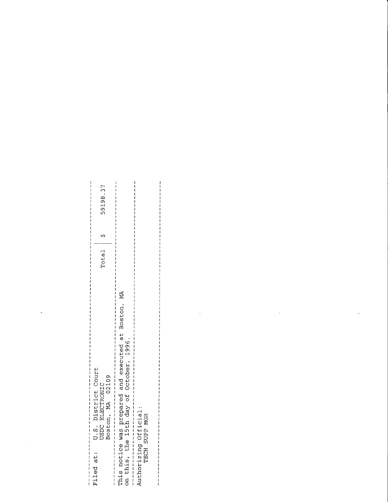| at:<br>Filed                                                                                             | U.S. District Court<br>USDC ELECTRONIC<br>Boston, MA 02109                                                                                                                            | Total | $\mathbf{v}$ | $\overline{37}$<br>$\blacksquare$<br>59198 |
|----------------------------------------------------------------------------------------------------------|---------------------------------------------------------------------------------------------------------------------------------------------------------------------------------------|-------|--------------|--------------------------------------------|
| This notice<br>on this,<br>$\mathbf{I}$                                                                  | $\widetilde{\Xi}$<br>Boston,<br>$\frac{1}{9}$<br>executed a<br>ber, 1996.<br>and execut<br>October,<br>ice was prepared<br>the 15th day of<br>$\mathbf{I}$<br>$\mathbf{I}$<br>Ť<br>-1 |       |              |                                            |
| Authorizing Official:<br>TECH SUPP MGR<br>$\mathbf{I}$<br>$\mathbf{I}$<br>$\mathbf{I}$<br>$\overline{1}$ | $\frac{1}{4}$<br>$\mathbf{I}$<br>$\begin{array}{c} \hline \end{array}$                                                                                                                |       |              |                                            |
|                                                                                                          |                                                                                                                                                                                       |       |              |                                            |
|                                                                                                          | x                                                                                                                                                                                     |       |              |                                            |
|                                                                                                          |                                                                                                                                                                                       |       |              |                                            |
|                                                                                                          |                                                                                                                                                                                       |       |              |                                            |
|                                                                                                          |                                                                                                                                                                                       |       |              |                                            |
|                                                                                                          |                                                                                                                                                                                       |       |              |                                            |
|                                                                                                          |                                                                                                                                                                                       |       |              |                                            |
|                                                                                                          |                                                                                                                                                                                       |       |              |                                            |

 $\mathcal{A}^{\text{max}}$